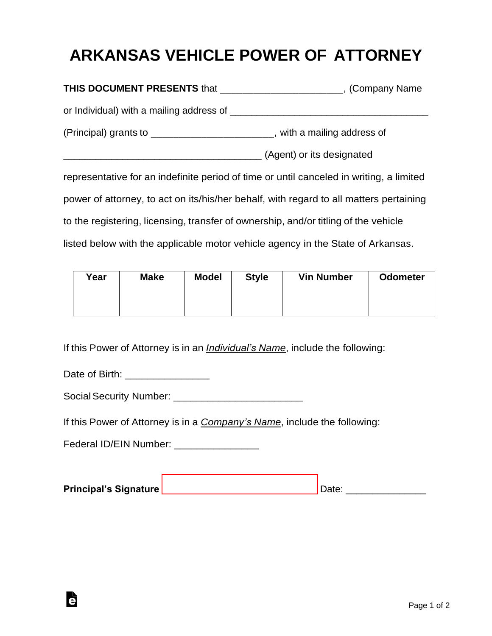## **ARKANSAS VEHICLE POWER OF ATTORNEY**

| THIS DOCUMENT PRESENTS that ________________________, (Company Name                       |                           |  |  |  |
|-------------------------------------------------------------------------------------------|---------------------------|--|--|--|
| or Individual) with a mailing address of <b>container and the container and container</b> |                           |  |  |  |
| (Principal) grants to ________________________, with a mailing address of                 |                           |  |  |  |
|                                                                                           | (Agent) or its designated |  |  |  |
| representative for an indefinite period of time or until canceled in writing, a limited   |                           |  |  |  |
| power of attorney, to act on its/his/her behalf, with regard to all matters pertaining    |                           |  |  |  |
| to the registering, licensing, transfer of ownership, and/or titling of the vehicle       |                           |  |  |  |
| listed below with the applicable motor vehicle agency in the State of Arkansas.           |                           |  |  |  |

| Year | <b>Make</b> | <b>Model</b> | <b>Style</b> | <b>Vin Number</b> | <b>Odometer</b> |
|------|-------------|--------------|--------------|-------------------|-----------------|
|      |             |              |              |                   |                 |

If this Power of Attorney is in an *Individual's Name*, include the following:

Date of Birth: \_\_\_\_\_\_\_\_\_\_\_\_\_\_\_\_\_\_\_

Ġ

SocialSecurity Number: \_\_\_\_\_\_\_\_\_\_\_\_\_\_\_\_\_\_\_\_\_\_\_

If this Power of Attorney is in a *Company's Name*, include the following:

Federal ID/EIN Number: \_\_\_\_\_\_\_\_\_\_\_\_\_\_\_

| <b>Principal's Signature</b> |  |
|------------------------------|--|
|                              |  |